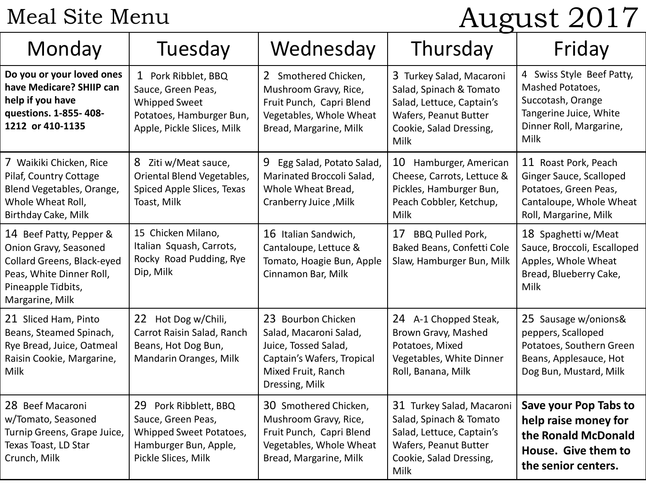#### Meal Site Menu

# August 2017

| Monday                                                                                                                                              | Tuesday                                                                                                                     | Wednesday                                                                                                                                  | Thursday                                                                                                                                      | Friday                                                                                                                          |
|-----------------------------------------------------------------------------------------------------------------------------------------------------|-----------------------------------------------------------------------------------------------------------------------------|--------------------------------------------------------------------------------------------------------------------------------------------|-----------------------------------------------------------------------------------------------------------------------------------------------|---------------------------------------------------------------------------------------------------------------------------------|
| Do you or your loved ones<br>have Medicare? SHIIP can<br>help if you have<br>questions. 1-855-408-<br>1212 or 410-1135                              | 1 Pork Ribblet, BBQ<br>Sauce, Green Peas,<br><b>Whipped Sweet</b><br>Potatoes, Hamburger Bun,<br>Apple, Pickle Slices, Milk | 2 Smothered Chicken,<br>Mushroom Gravy, Rice,<br>Fruit Punch, Capri Blend<br>Vegetables, Whole Wheat<br>Bread, Margarine, Milk             | 3 Turkey Salad, Macaroni<br>Salad, Spinach & Tomato<br>Salad, Lettuce, Captain's<br>Wafers, Peanut Butter<br>Cookie, Salad Dressing,<br>Milk  | 4 Swiss Style Beef Patty,<br>Mashed Potatoes,<br>Succotash, Orange<br>Tangerine Juice, White<br>Dinner Roll, Margarine,<br>Milk |
| 7 Waikiki Chicken, Rice<br>Pilaf, Country Cottage<br>Blend Vegetables, Orange,<br>Whole Wheat Roll,<br>Birthday Cake, Milk                          | 8 Ziti w/Meat sauce,<br>Oriental Blend Vegetables,<br>Spiced Apple Slices, Texas<br>Toast, Milk                             | 9 Egg Salad, Potato Salad,<br>Marinated Broccoli Salad,<br>Whole Wheat Bread,<br>Cranberry Juice, Milk                                     | 10<br>Hamburger, American<br>Cheese, Carrots, Lettuce &<br>Pickles, Hamburger Bun,<br>Peach Cobbler, Ketchup,<br>Milk                         | 11 Roast Pork, Peach<br>Ginger Sauce, Scalloped<br>Potatoes, Green Peas,<br>Cantaloupe, Whole Wheat<br>Roll, Margarine, Milk    |
| 14 Beef Patty, Pepper &<br>Onion Gravy, Seasoned<br>Collard Greens, Black-eyed<br>Peas, White Dinner Roll,<br>Pineapple Tidbits,<br>Margarine, Milk | 15 Chicken Milano,<br>Italian Squash, Carrots,<br>Rocky Road Pudding, Rye<br>Dip, Milk                                      | 16 Italian Sandwich,<br>Cantaloupe, Lettuce &<br>Tomato, Hoagie Bun, Apple<br>Cinnamon Bar, Milk                                           | <b>BBQ Pulled Pork,</b><br>17<br>Baked Beans, Confetti Cole<br>Slaw, Hamburger Bun, Milk                                                      | 18 Spaghetti w/Meat<br>Sauce, Broccoli, Escalloped<br>Apples, Whole Wheat<br>Bread, Blueberry Cake,<br>Milk                     |
| 21 Sliced Ham, Pinto<br>Beans, Steamed Spinach,<br>Rye Bread, Juice, Oatmeal<br>Raisin Cookie, Margarine,<br>Milk                                   | 22 Hot Dog w/Chili,<br>Carrot Raisin Salad, Ranch<br>Beans, Hot Dog Bun,<br>Mandarin Oranges, Milk                          | 23 Bourbon Chicken<br>Salad, Macaroni Salad,<br>Juice, Tossed Salad,<br>Captain's Wafers, Tropical<br>Mixed Fruit, Ranch<br>Dressing, Milk | 24 A-1 Chopped Steak,<br>Brown Gravy, Mashed<br>Potatoes, Mixed<br>Vegetables, White Dinner<br>Roll, Banana, Milk                             | 25 Sausage w/onions&<br>peppers, Scalloped<br>Potatoes, Southern Green<br>Beans, Applesauce, Hot<br>Dog Bun, Mustard, Milk      |
| 28 Beef Macaroni<br>w/Tomato, Seasoned<br>Turnip Greens, Grape Juice,<br>Texas Toast, LD Star<br>Crunch, Milk                                       | 29<br>Pork Ribblett, BBQ<br>Sauce, Green Peas,<br>Whipped Sweet Potatoes,<br>Hamburger Bun, Apple,<br>Pickle Slices, Milk   | 30 Smothered Chicken,<br>Mushroom Gravy, Rice,<br>Fruit Punch, Capri Blend<br>Vegetables, Whole Wheat<br>Bread, Margarine, Milk            | 31 Turkey Salad, Macaroni<br>Salad, Spinach & Tomato<br>Salad, Lettuce, Captain's<br>Wafers, Peanut Butter<br>Cookie, Salad Dressing,<br>Milk | Save your Pop Tabs to<br>help raise money for<br>the Ronald McDonald<br>House. Give them to<br>the senior centers.              |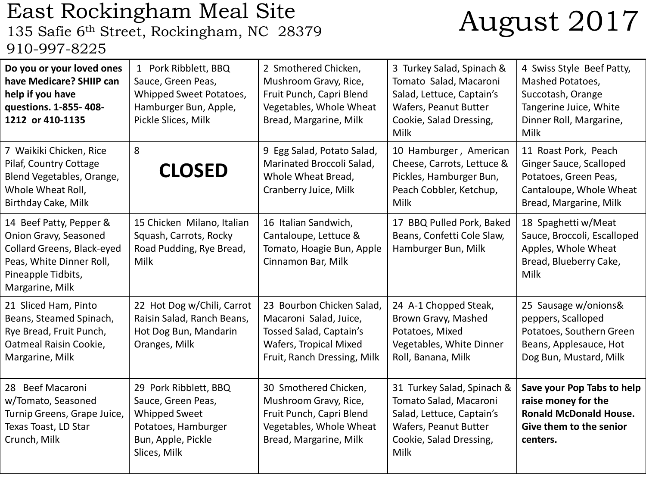## East Rockingham Meal Site<br>135 Safie 6<sup>th</sup> Street, Rockingham, NC 28379 910-997-8225

## August 2017

| Do you or your loved ones<br>have Medicare? SHIIP can<br>help if you have<br>questions. 1-855-408-<br>1212 or 410-1135                              | 1 Pork Ribblett, BBQ<br>Sauce, Green Peas,<br>Whipped Sweet Potatoes,<br>Hamburger Bun, Apple,<br>Pickle Slices, Milk            | 2 Smothered Chicken,<br>Mushroom Gravy, Rice,<br>Fruit Punch, Capri Blend<br>Vegetables, Whole Wheat<br>Bread, Margarine, Milk          | 3 Turkey Salad, Spinach &<br>Tomato Salad, Macaroni<br>Salad, Lettuce, Captain's<br>Wafers, Peanut Butter<br>Cookie, Salad Dressing,<br>Milk  | 4 Swiss Style Beef Patty,<br>Mashed Potatoes,<br>Succotash, Orange<br>Tangerine Juice, White<br>Dinner Roll, Margarine,<br>Milk |
|-----------------------------------------------------------------------------------------------------------------------------------------------------|----------------------------------------------------------------------------------------------------------------------------------|-----------------------------------------------------------------------------------------------------------------------------------------|-----------------------------------------------------------------------------------------------------------------------------------------------|---------------------------------------------------------------------------------------------------------------------------------|
| 7 Waikiki Chicken, Rice<br>Pilaf, Country Cottage<br>Blend Vegetables, Orange,<br>Whole Wheat Roll,<br>Birthday Cake, Milk                          | 8<br><b>CLOSED</b>                                                                                                               | 9 Egg Salad, Potato Salad,<br>Marinated Broccoli Salad,<br>Whole Wheat Bread,<br>Cranberry Juice, Milk                                  | 10 Hamburger, American<br>Cheese, Carrots, Lettuce &<br>Pickles, Hamburger Bun,<br>Peach Cobbler, Ketchup,<br><b>Milk</b>                     | 11 Roast Pork, Peach<br>Ginger Sauce, Scalloped<br>Potatoes, Green Peas,<br>Cantaloupe, Whole Wheat<br>Bread, Margarine, Milk   |
| 14 Beef Patty, Pepper &<br>Onion Gravy, Seasoned<br>Collard Greens, Black-eyed<br>Peas, White Dinner Roll,<br>Pineapple Tidbits,<br>Margarine, Milk | 15 Chicken Milano, Italian<br>Squash, Carrots, Rocky<br>Road Pudding, Rye Bread,<br>Milk                                         | 16 Italian Sandwich,<br>Cantaloupe, Lettuce &<br>Tomato, Hoagie Bun, Apple<br>Cinnamon Bar, Milk                                        | 17 BBQ Pulled Pork, Baked<br>Beans, Confetti Cole Slaw,<br>Hamburger Bun, Milk                                                                | 18 Spaghetti w/Meat<br>Sauce, Broccoli, Escalloped<br>Apples, Whole Wheat<br>Bread, Blueberry Cake,<br>Milk                     |
| 21 Sliced Ham, Pinto<br>Beans, Steamed Spinach,<br>Rye Bread, Fruit Punch,<br>Oatmeal Raisin Cookie,<br>Margarine, Milk                             | 22 Hot Dog w/Chili, Carrot<br>Raisin Salad, Ranch Beans,<br>Hot Dog Bun, Mandarin<br>Oranges, Milk                               | 23 Bourbon Chicken Salad,<br>Macaroni Salad, Juice,<br>Tossed Salad, Captain's<br>Wafers, Tropical Mixed<br>Fruit, Ranch Dressing, Milk | 24 A-1 Chopped Steak,<br>Brown Gravy, Mashed<br>Potatoes, Mixed<br>Vegetables, White Dinner<br>Roll, Banana, Milk                             | 25 Sausage w/onions&<br>peppers, Scalloped<br>Potatoes, Southern Green<br>Beans, Applesauce, Hot<br>Dog Bun, Mustard, Milk      |
| 28 Beef Macaroni<br>w/Tomato, Seasoned<br>Turnip Greens, Grape Juice,<br>Texas Toast, LD Star<br>Crunch, Milk                                       | 29 Pork Ribblett, BBQ<br>Sauce, Green Peas,<br><b>Whipped Sweet</b><br>Potatoes, Hamburger<br>Bun, Apple, Pickle<br>Slices, Milk | 30 Smothered Chicken,<br>Mushroom Gravy, Rice,<br>Fruit Punch, Capri Blend<br>Vegetables, Whole Wheat<br>Bread, Margarine, Milk         | 31 Turkey Salad, Spinach &<br>Tomato Salad, Macaroni<br>Salad, Lettuce, Captain's<br>Wafers, Peanut Butter<br>Cookie, Salad Dressing,<br>Milk | Save your Pop Tabs to help<br>raise money for the<br><b>Ronald McDonald House.</b><br>Give them to the senior<br>centers.       |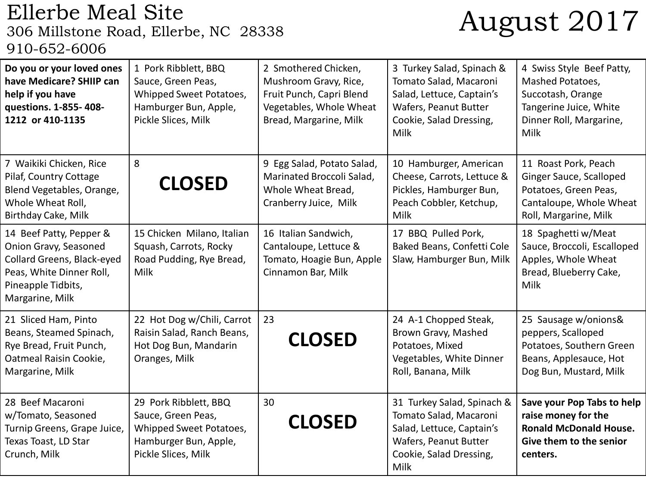### Ellerbe Meal Site<br>306 Millstone Road, Ellerbe, NC 28338 910-652-6006

## August 2017

| Do you or your loved ones<br>have Medicare? SHIIP can<br>help if you have<br>questions. 1-855-408-<br>1212 or 410-1135                              | 1 Pork Ribblett, BBQ<br>Sauce, Green Peas,<br>Whipped Sweet Potatoes,<br>Hamburger Bun, Apple,<br>Pickle Slices, Milk  | 2 Smothered Chicken,<br>Mushroom Gravy, Rice,<br>Fruit Punch, Capri Blend<br>Vegetables, Whole Wheat<br>Bread, Margarine, Milk | 3 Turkey Salad, Spinach &<br>Tomato Salad, Macaroni<br>Salad, Lettuce, Captain's<br>Wafers, Peanut Butter<br>Cookie, Salad Dressing,<br>Milk  | 4 Swiss Style Beef Patty,<br>Mashed Potatoes,<br>Succotash, Orange<br>Tangerine Juice, White<br>Dinner Roll, Margarine,<br>Milk |
|-----------------------------------------------------------------------------------------------------------------------------------------------------|------------------------------------------------------------------------------------------------------------------------|--------------------------------------------------------------------------------------------------------------------------------|-----------------------------------------------------------------------------------------------------------------------------------------------|---------------------------------------------------------------------------------------------------------------------------------|
| 7 Waikiki Chicken, Rice<br>Pilaf, Country Cottage<br>Blend Vegetables, Orange,<br>Whole Wheat Roll,<br>Birthday Cake, Milk                          | 8<br><b>CLOSED</b>                                                                                                     | 9 Egg Salad, Potato Salad,<br>Marinated Broccoli Salad,<br>Whole Wheat Bread,<br>Cranberry Juice, Milk                         | 10 Hamburger, American<br>Cheese, Carrots, Lettuce &<br>Pickles, Hamburger Bun,<br>Peach Cobbler, Ketchup,<br>Milk                            | 11 Roast Pork, Peach<br>Ginger Sauce, Scalloped<br>Potatoes, Green Peas,<br>Cantaloupe, Whole Wheat<br>Roll, Margarine, Milk    |
| 14 Beef Patty, Pepper &<br>Onion Gravy, Seasoned<br>Collard Greens, Black-eyed<br>Peas, White Dinner Roll,<br>Pineapple Tidbits,<br>Margarine, Milk | 15 Chicken Milano, Italian<br>Squash, Carrots, Rocky<br>Road Pudding, Rye Bread,<br>Milk                               | 16 Italian Sandwich,<br>Cantaloupe, Lettuce &<br>Tomato, Hoagie Bun, Apple<br>Cinnamon Bar, Milk                               | 17 BBQ Pulled Pork,<br>Baked Beans, Confetti Cole<br>Slaw, Hamburger Bun, Milk                                                                | 18 Spaghetti w/Meat<br>Sauce, Broccoli, Escalloped<br>Apples, Whole Wheat<br>Bread, Blueberry Cake,<br>Milk                     |
| 21 Sliced Ham, Pinto<br>Beans, Steamed Spinach,<br>Rye Bread, Fruit Punch,<br>Oatmeal Raisin Cookie,<br>Margarine, Milk                             | 22 Hot Dog w/Chili, Carrot<br>Raisin Salad, Ranch Beans,<br>Hot Dog Bun, Mandarin<br>Oranges, Milk                     | 23<br><b>CLOSED</b>                                                                                                            | 24 A-1 Chopped Steak,<br>Brown Gravy, Mashed<br>Potatoes, Mixed<br>Vegetables, White Dinner<br>Roll, Banana, Milk                             | 25 Sausage w/onions&<br>peppers, Scalloped<br>Potatoes, Southern Green<br>Beans, Applesauce, Hot<br>Dog Bun, Mustard, Milk      |
| 28 Beef Macaroni<br>w/Tomato, Seasoned<br>Turnip Greens, Grape Juice,<br>Texas Toast, LD Star<br>Crunch, Milk                                       | 29 Pork Ribblett, BBQ<br>Sauce, Green Peas,<br>Whipped Sweet Potatoes,<br>Hamburger Bun, Apple,<br>Pickle Slices, Milk | 30<br><b>CLOSED</b>                                                                                                            | 31 Turkey Salad, Spinach &<br>Tomato Salad, Macaroni<br>Salad, Lettuce, Captain's<br>Wafers, Peanut Butter<br>Cookie, Salad Dressing,<br>Milk | Save your Pop Tabs to help<br>raise money for the<br><b>Ronald McDonald House.</b><br>Give them to the senior<br>centers.       |